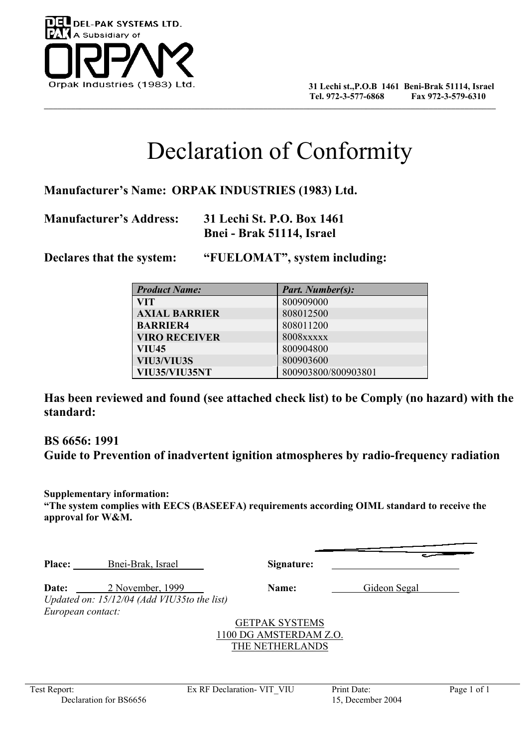

## Declaration of Conformity

**Manufacturer's Name: ORPAK INDUSTRIES (1983) Ltd.** 

**Manufacturer's Address: 31 Lechi St. P.O. Box 1461 Bnei - Brak 51114, Israel** 

**Declares that the system: "FUELOMAT", system including:** 

| <b>Product Name:</b> | <b>Part. Number(s):</b> |
|----------------------|-------------------------|
| <b>VIT</b>           | 800909000               |
| <b>AXIAL BARRIER</b> | 808012500               |
| <b>BARRIER4</b>      | 808011200               |
| <b>VIRO RECEIVER</b> | <b>8008xxxxx</b>        |
| <b>VIU45</b>         | 800904800               |
| VIU3/VIU3S           | 800903600               |
| VIU35/VIU35NT        | 800903800/800903801     |

**Has been reviewed and found (see attached check list) to be Comply (no hazard) with the standard:** 

**BS 6656: 1991 Guide to Prevention of inadvertent ignition atmospheres by radio-frequency radiation** 

**Supplementary information: "The system complies with EECS (BASEEFA) requirements according OIML standard to receive the approval for W&M.** 

**Place:** Bnei-Brak, Israel **Signature:**

**Date:** 2 November, 1999 **Name:** Gideon Segal *Updated on: 15/12/04 (Add VIU35to the list) European contact:* 

> GETPAK SYSTEMS 1100 DG AMSTERDAM Z.O. THE NETHERLANDS